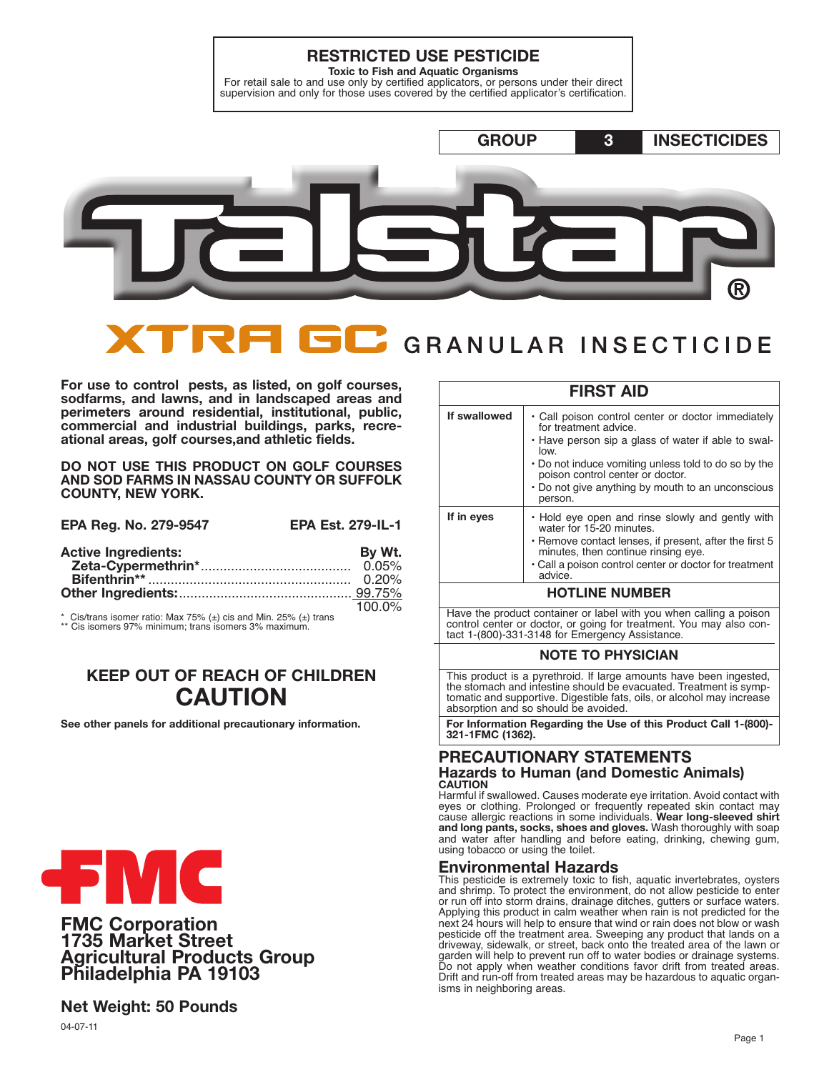# **RESTRICTED USE PESTICIDE**

**Toxic to Fish and Aquatic Organisms** For retail sale to and use only by certified applicators, or persons under their direct supervision and only for those uses covered by the certified applicator's certification.



# GRANULAR INSECTICIDE

For use to control pests, as listed, on golf courses,<br>sodfarms, and lawns, and in landscaped areas and<br>perimeters around residential, institutional, public, commercial and industrial buildings, parks, recre-<br>ational areas, golf courses, and athletic fields.

**DO NOT USE THIS PRODUCT ON GOLF COURSES AND SOD FARMS IN NASSAU COUNTY OR SUFFOLK COUNTY, NEW YORK.**

**EPA Reg. No. 279-9547 EPA Est. 279-IL-1**

| <b>Active Ingredients:</b> | By Wt. |
|----------------------------|--------|
|                            |        |
|                            |        |
|                            |        |
|                            | 100 0% |

\* Cis/trans isomer ratio: Max 75%  $(\pm)$  cis and Min. 25%  $(\pm)$  trans

Cis isomers 97% minimum; trans isomers 3% maximum.

# **KEEP OUT OF REACH OF CHILDREN CAUTION**



# **FMC Corporation 1735 Market Street Agricultural Products Group Philadelphia PA <sup>19103</sup>**

# **Net Weight: 50 Pounds**

| <b>FIRST AID</b>                                                                                                                                                                                                                                                                                                       |                                                                                                                                                                                                                                                   |  |  |  |  |
|------------------------------------------------------------------------------------------------------------------------------------------------------------------------------------------------------------------------------------------------------------------------------------------------------------------------|---------------------------------------------------------------------------------------------------------------------------------------------------------------------------------------------------------------------------------------------------|--|--|--|--|
| If swallowed<br>• Call poison control center or doctor immediately<br>for treatment advice.<br>• Have person sip a glass of water if able to swal-<br>low.<br>• Do not induce vomiting unless told to do so by the<br>poison control center or doctor.<br>• Do not give anything by mouth to an unconscious<br>person. |                                                                                                                                                                                                                                                   |  |  |  |  |
| If in eyes                                                                                                                                                                                                                                                                                                             | . Hold eye open and rinse slowly and gently with<br>water for 15-20 minutes.<br>• Remove contact lenses, if present, after the first 5<br>minutes, then continue rinsing eye.<br>• Call a poison control center or doctor for treatment<br>advice |  |  |  |  |
| <b>HOTLINE NUMBER</b>                                                                                                                                                                                                                                                                                                  |                                                                                                                                                                                                                                                   |  |  |  |  |
| Have the product container or label with you when calling a poison<br>control center or doctor, or going for treatment. You may also con-<br>tact 1-(800)-331-3148 for Emergency Assistance.                                                                                                                           |                                                                                                                                                                                                                                                   |  |  |  |  |
| <b>NOTE TO PHYSICIAN</b>                                                                                                                                                                                                                                                                                               |                                                                                                                                                                                                                                                   |  |  |  |  |
| This product is a pyrethroid. If large amounts have been ingested,<br>the stomach and intestine should be evacuated. Treatment is symp-<br>tomatic and supportive. Digestible fats, oils, or alcohol may increase<br>absorption and so should be avoided.                                                              |                                                                                                                                                                                                                                                   |  |  |  |  |
| Fee Information Depending the Health District Only 4, 10001                                                                                                                                                                                                                                                            |                                                                                                                                                                                                                                                   |  |  |  |  |

See other panels for additional precautionary information. <br>
For Information Regarding the Use of this Product Call 1-(800)-**321-1FMC (1362).**

#### **PRECAUTIONARY STATEMENTS Hazards to Human (and Domestic Animals) CAUTION**

Harmful if swallowed. Causes moderate eye irritation. Avoid contact with eyes or clothing. Prolonged or frequently repeated skin contact may cause allergic reactions in some individuals. **Wear long-sleeved shirt and long pants, socks, shoes and gloves.** Wash thoroughly with soap and water after handling and before eating, drinking, chewing gum, using tobacco or using the toilet.

#### **Environmental Hazards**

This pesticide is extremely toxic to fish, aquatic invertebrates, oysters and shrimp. To protect the environment, do not allow pesticide to enter or run off into storm drains, drainage ditches, gutters or surface waters. Applying this product in calm weather when rain is not predicted for the next 24 hours will help to ensure that wind or rain does not blow or wash pesticide off the treatment area. Sweeping any product that lands on a driveway, sidewalk, or street, back onto the treated area of the lawn or garden will help to prevent run off to water bodies or drainage systems. Do not apply when weather conditions favor drift from treated areas. Drift and run-off from treated areas may be hazardous to aquatic organisms in neighboring areas.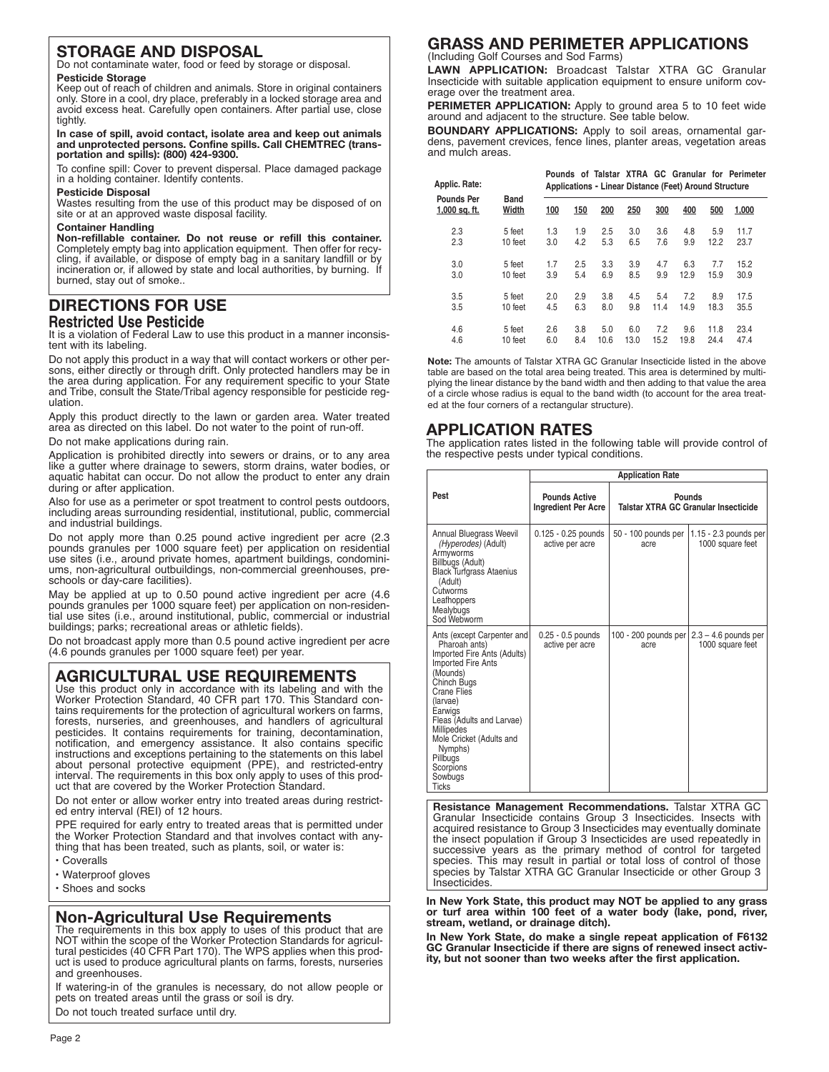# **STORAGE AND DISPOSAL**

Do not contaminate water, food or feed by storage or disposal. **Pesticide Storage**

Keep out of reach of children and animals. Store in original containers only. Store in a cool, dry place, preferably in a locked storage area and avoid excess heat. Carefully open containers. After partial use, close tightly.

**In case of spill, avoid contact, isolate area and keep out animals and unprotected persons. Confine spills. Call CHEMTREC (trans-portation and spills): (800) 424-9300.**

To confine spill: Cover to prevent dispersal. Place damaged package in a holding container. Identify contents.

#### **Pesticide Disposal**

Wastes resulting from the use of this product may be disposed of on site or at an approved waste disposal facility.

#### **Container Handling**

**Non-refillable container. Do not reuse or refill this container.** Completely empty bag into application equipment. Then offer for recycling, if available, or dispose of empty bag in a sanitary landfill or by incineration or, if allowed by state and local authorities, by burning. If burned, stay out of smoke..

#### **DIRECTIONS FOR USE Restricted Use Pesticide**

It is a violation of Federal Law to use this product in a manner inconsistent with its labeling.

Do not apply this product in a way that will contact workers or other persons, either directly or through drift. Only protected handlers may be in the area during application. For any requirement specific to your State and Tribe, consult the State/Tribal agency responsible for pesticide regulation.

Apply this product directly to the lawn or garden area. Water treated area as directed on this label. Do not water to the point of run-off.

Do not make applications during rain.

Application is prohibited directly into sewers or drains, or to any area like a gutter where drainage to sewers, storm drains, water bodies, or aquatic habitat can occur. Do not allow the product to enter any drain during or after application.

Also for use as a perimeter or spot treatment to control pests outdoors, including areas surrounding residential, institutional, public, commercial and industrial buildings.

Do not apply more than 0.25 pound active ingredient per acre (2.3 pounds granules per 1000 square feet) per application on residential use sites (i.e., around private homes, apartment buildings, condominiums, non-agricultural outbuildings, non-commercial greenhouses, preschools or day-care facilities).

May be applied at up to 0.50 pound active ingredient per acre (4.6 pounds granules per 1000 square feet) per application on non-residential use sites (i.e., around institutional, public, commercial or industrial buildings; parks; recreational areas or athletic fields).

Do not broadcast apply more than 0.5 pound active ingredient per acre (4.6 pounds granules per 1000 square feet) per year.

# **AGRICULTURAL USE REQUIREMENTS**

Use this product only in accordance with its labeling and with the Worker Protection Standard, 40 CFR part 170. This Standard contains requirements for the protection of agricultural workers on farms, forests, nurseries, and greenhouses, and handlers of agricultural pesticides. It contains requirements for training, decontamination, notification, and emergency assistance. It also contains specific instructions and exceptions pertaining to the statements on this label about personal protective equipment (PPE), and restricted-entry interval. The requirements in this box only apply to uses of this product that are covered by the Worker Protection Standard.

Do not enter or allow worker entry into treated areas during restricted entry interval (REI) of 12 hours.

PPE required for early entry to treated areas that is permitted under the Worker Protection Standard and that involves contact with anything that has been treated, such as plants, soil, or water is:

- Coveralls
- Waterproof gloves
- Shoes and socks

## **Non-Agricultural Use Requirements**

The requirements in this box apply to uses of this product that are NOT within the scope of the Worker Protection Standards for agricultural pesticides (40 CFR Part 170). The WPS applies when this product is used to produce agricultural plants on farms, forests, nurseries and greenhouses.

If watering-in of the granules is necessary, do not allow people or pets on treated areas until the grass or soil is dry. Do not touch treated surface until dry.

#### **GRASS AND PERIMETER APPLICATIONS** (Including Golf Courses and Sod Farms)

**LAWN APPLICATION:** Broadcast Talstar XTRA GC Granular Insecticide with suitable application equipment to ensure uniform coverage over the treatment area.

**PERIMETER APPLICATION:** Apply to ground area 5 to 10 feet wide around and adjacent to the structure. See table below.

**BOUNDARY APPLICATIONS:** Apply to soil areas, ornamental gardens, pavement crevices, fence lines, planter areas, vegetation areas and mulch areas.

| Applic. Rate:                        |               |     |     |      |      |      | Applications - Linear Distance (Feet) Around Structure |      | Pounds of Talstar XTRA GC Granular for Perimeter |  |
|--------------------------------------|---------------|-----|-----|------|------|------|--------------------------------------------------------|------|--------------------------------------------------|--|
| <b>Pounds Per</b><br>$1,000$ sq. ft. | Band<br>Width | 100 | 150 | 200  | 250  | 300  | 400                                                    | 500  | 1,000                                            |  |
| 2.3                                  | 5 feet        | 1.3 | 1.9 | 2.5  | 3.0  | 3.6  | 4.8                                                    | 5.9  | 11.7                                             |  |
| 2.3                                  | 10 feet       | 3.0 | 4.2 | 5.3  | 6.5  | 7.6  | 9.9                                                    | 12.2 | 23.7                                             |  |
| 3.0                                  | 5 feet        | 1.7 | 2.5 | 3.3  | 3.9  | 4.7  | 6.3                                                    | 7.7  | 15.2                                             |  |
| 3.0                                  | 10 feet       | 3.9 | 5.4 | 6.9  | 8.5  | 9.9  | 12.9                                                   | 15.9 | 30.9                                             |  |
| 3.5                                  | 5 feet        | 2.0 | 2.9 | 3.8  | 4.5  | 5.4  | 7.2                                                    | 8.9  | 17.5                                             |  |
| 3.5                                  | 10 feet       | 4.5 | 6.3 | 8.0  | 9.8  | 11.4 | 14.9                                                   | 18.3 | 35.5                                             |  |
| 4.6                                  | 5 feet        | 2.6 | 3.8 | 5.0  | 6.0  | 7.2  | 9.6                                                    | 11.8 | 23.4                                             |  |
| 4.6                                  | 10 feet       | 6.0 | 8.4 | 10.6 | 13.0 | 15.2 | 19.8                                                   | 24.4 | 47.4                                             |  |

**Note:** The amounts of Talstar XTRA GC Granular Insecticide listed in the above table are based on the total area being treated. This area is determined by multiplying the linear distance by the band width and then adding to that value the area of a circle whose radius is equal to the band width (to account for the area treated at the four corners of a rectangular structure).

# **APPLICATION RATES**

The application rates listed in the following table will provide control of the respective pests under typical conditions.

|                                                                                                                                                                                                                                                                                                                | <b>Application Rate</b>                            |                              |                                                |  |  |  |
|----------------------------------------------------------------------------------------------------------------------------------------------------------------------------------------------------------------------------------------------------------------------------------------------------------------|----------------------------------------------------|------------------------------|------------------------------------------------|--|--|--|
| Pest                                                                                                                                                                                                                                                                                                           | <b>Pounds Active</b><br><b>Ingredient Per Acre</b> |                              | Pounds<br>Talstar XTRA GC Granular Insecticide |  |  |  |
| Annual Bluegrass Weevil<br>(Hyperodes) (Adult)<br>Armyworms<br>Billbugs (Adult)<br><b>Black Turfgrass Ataenius</b><br>(Adult)<br>Cutworms<br>Leafhoppers<br>Mealybugs<br>Sod Webworm                                                                                                                           | $0.125 - 0.25$ pounds<br>active per acre           | 50 - 100 pounds per<br>acre  | $1.15 - 2.3$ pounds per<br>1000 square feet    |  |  |  |
| Ants (except Carpenter and<br>Pharoah ants)<br>Imported Fire Ants (Adults)<br>Imported Fire Ants<br>(Mounds)<br>Chinch Bugs<br>Crane Flies<br>(larvae)<br>Earwigs<br>Fleas (Adults and Larvae)<br><b>Millipedes</b><br>Mole Cricket (Adults and<br>Nymphs)<br>Pillbugs<br>Scorpions<br>Sowbugs<br><b>Ticks</b> | $0.25 - 0.5$ pounds<br>active per acre             | 100 - 200 pounds per<br>acre | $2.3 - 4.6$ pounds per<br>1000 square feet     |  |  |  |

**Resistance Management Recommendations.** Talstar XTRA GC Granular Insecticide contains Group 3 Insecticides. Insects with acquired resistance to Group 3 Insecticides may eventually dominate the insect population if Group 3 Insecticides are used repeatedly in successive years as the primary method of control for targeted species. This may result in partial or total loss of control of those species by Talstar XTRA GC Granular Insecticide or other Group 3 Insecticides.

**In New York State, this product may NOT be applied to any grass or turf area within 100 feet of a water body (lake, pond, river, stream, wetland, or drainage ditch).**

**In New York State, do make a single repeat application of F6132 GC Granular Insecticide if there are signs of renewed insect activity, but not sooner than two weeks after the first application.**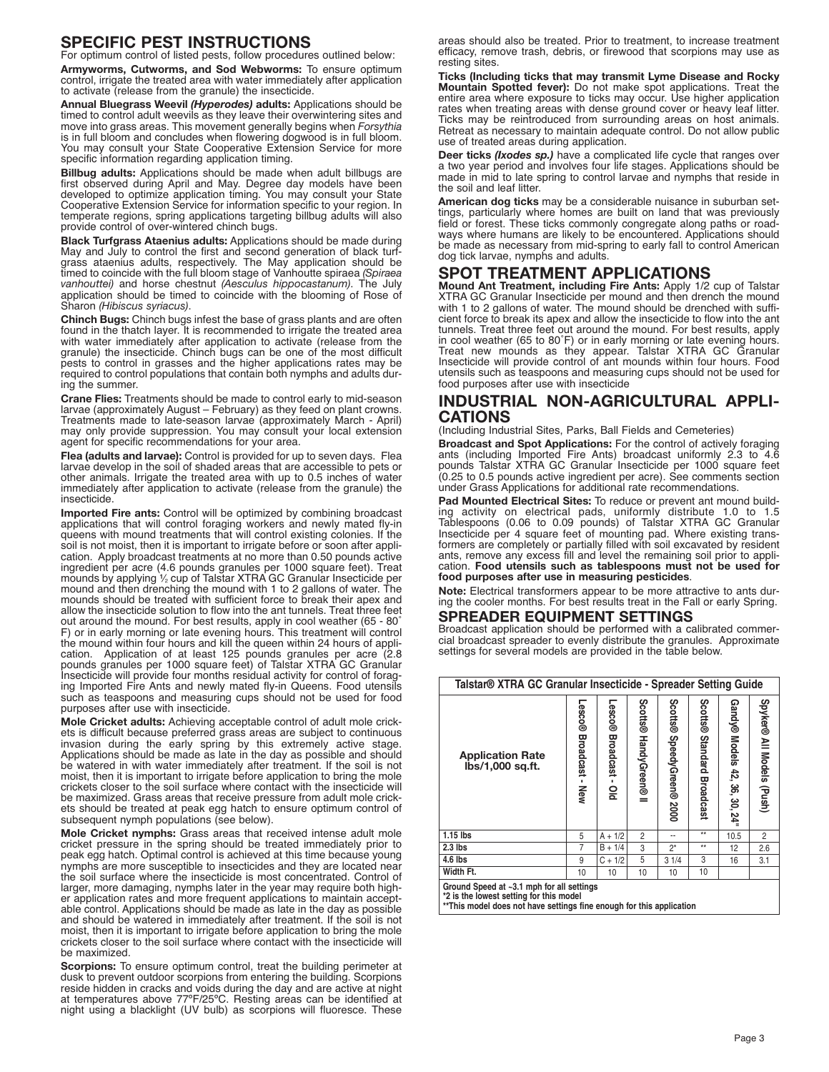# **SPECIFIC PEST INSTRUCTIONS**

For optimum control of listed pests, follow procedures outlined below:

**Armyworms, Cutworms, and Sod Webworms:** To ensure optimum control, irrigate the treated area with water immediately after application to activate (release from the granule) the insecticide.

**Annual Bluegrass Weevil** *(Hyperodes)* **adults:** Applications should be timed to control adult weevils as they leave their overwintering sites and move into grass areas. This movement generally begins when *Forsythia* is in full bloom and concludes when flowering dogwood is in full bloom. You may consult your State Cooperative Extension Service for more specific information regarding application timing.

**Billbug adults:** Applications should be made when adult billbugs are first observed during April and May. Degree day models have been developed to optimize application timing. You may consult your State Cooperative Extension Service for information specific to your region. In temperate regions, spring applications targeting billbug adults will also provide control of over-wintered chinch bugs.

**Black Turfgrass Ataenius adults:** Applications should be made during May and July to control the first and second generation of black turfgrass ataenius adults, respectively. The May application should be timed to coincide with the full bloom stage of Vanhoutte spiraea *(Spiraea vanhouttei)* and horse chestnut *(Aesculus hippocastanum)*. The July application should be timed to coincide with the blooming of Rose of Sharon *(Hibiscus syriacus)*.

**Chinch Bugs:** Chinch bugs infest the base of grass plants and are often found in the thatch layer. It is recommended to irrigate the treated area with water immediately after application to activate (release from the granule) the insecticide. Chinch bugs can be one of the most difficult pests to control in grasses and the higher applications rates may be required to control populations that contain both nymphs and adults dur-<br>ing the summer.

**Crane Flies:** Treatments should be made to control early to mid-season larvae (approximately August – February) as they feed on plant crowns. Treatments made to late-season larvae (approximately March - April) may only provide suppression. You may consult your local extension agent for specific recommendations for your area.

**Flea (adults and larvae):** Control is provided for up to seven days. Flea larvae develop in the soil of shaded areas that are accessible to pets or other animals. Irrigate the treated area with up to 0.5 inches of water immediately after application to activate (release from the granule) the insecticide.

**Imported Fire ants:** Control will be optimized by combining broadcast applications that will control foraging workers and newly mated fly-in queens with mound treatments that will control existing colonies. If the soil is not moist, then it is important to irrigate before or soon after application. Apply broadcast treatments at no more than 0.50 pounds active ingredient per acre (4.6 pounds granules per 1000 square feet). Treat mounds by applying 1/2 cup of Talstar XTRA GC Granular Insecticide per mound and then drenching the mound with 1 to 2 gallons of water. The mounds should be treated with sufficient force to break their apex and allow the insecticide solution to flow into the ant tunnels. Treat three feet out around the mound. For best results, apply in cool weather (65 - 80˚ F) or in early morning or late evening hours. This treatment will control the mound within four hours and kill the queen within 24 hours of application. Application of at least 125 pounds granules per acre (2.8 pounds granules per 1000 square feet) of Talstar XTRA GC Granular Insecticide will provide four months residual activity for control of foraging Imported Fire Ants and newly mated fly-in Queens. Food utensils such as teaspoons and measuring cups should not be used for food purposes after use with insecticide.

**Mole Cricket adults:** Achieving acceptable control of adult mole crickets is difficult because preferred grass areas are subject to continuous invasion during the early spring by this extremely active stage. Applications should be made as late in the day as possible and should be watered in with water immediately after treatment. If the soil is not moist, then it is important to irrigate before application to bring the mole crickets closer to the soil surface where contact with the insecticide will be maximized. Grass areas that receive pressure from adult mole crickets should be treated at peak egg hatch to ensure optimum control of subsequent nymph populations (see below).

**Mole Cricket nymphs:** Grass areas that received intense adult mole cricket pressure in the spring should be treated immediately prior to peak egg hatch. Optimal control is achieved at this time because young nymphs are more susceptible to insecticides and they are located near the soil surface where the insecticide is most concentrated. Control of larger, more damaging, nymphs later in the year may require both higher application rates and more frequent applications to maintain acceptable control. Applications should be made as late in the day as possible and should be watered in immediately after treatment. If the soil is not moist, then it is important to irrigate before application to bring the mole crickets closer to the soil surface where contact with the insecticide will be maximized.

**Scorpions:** To ensure optimum control, treat the building perimeter at dusk to prevent outdoor scorpions from entering the building. Scorpions reside hidden in cracks and voids during the day and are active at night at temperatures above 77ºF/25ºC. Resting areas can be identified at night using a blacklight (UV bulb) as scorpions will fluoresce. These

areas should also be treated. Prior to treatment, to increase treatment efficacy, remove trash, debris, or firewood that scorpions may use as resting sites.

**Ticks (Including ticks that may transmit Lyme Disease and Rocky Mountain Spotted fever):** Do not make spot applications. Treat the entire area where exposure to ticks may occur. Use higher application rates when treating areas with dense ground cover or heavy leaf litter. Ticks may be reintroduced from surrounding areas on host animals. Retreat as necessary to maintain adequate control. Do not allow public use of treated areas during application.

**Deer ticks** *(Ixodes sp.)* have a complicated life cycle that ranges over a two year period and involves four life stages. Applications should be made in mid to late spring to control larvae and nymphs that reside in the soil and leaf litter.

**American dog ticks** may be a considerable nuisance in suburban settings, particularly where homes are built on land that was previously field or forest. These ticks commonly congregate along paths or roadways where humans are likely to be encountered. Applications should be made as necessary from mid-spring to early fall to control American dog tick larvae, nymphs and adults.

# **SPOT TREATMENT APPLICATIONS**

**Mound Ant Treatment, including Fire Ants:** Apply 1/2 cup of Talstar XTRA GC Granular Insecticide per mound and then drench the mound with 1 to 2 gallons of water. The mound should be drenched with sufficient force to break its apex and allow the insecticide to flow into the ant tunnels. Treat three feet out around the mound. For best results, apply in cool weather (65 to 80˚F) or in early morning or late evening hours. Treat new mounds as they appear. Talstar XTRA GC Granular Insecticide will provide control of ant mounds within four hours. Food utensils such as teaspoons and measuring cups should not be used for food purposes after use with insecticide

#### **INDUSTRIAL NON-AGRICULTURAL APPLI-CATIONS**

(Including Industrial Sites, Parks, Ball Fields and Cemeteries)

**Broadcast and Spot Applications:** For the control of actively foraging ants (including Imported Fire Ants) broadcast uniformly 2.3 to 4.6 pounds Talstar XTRA GC Granular Insecticide per 1000 square feet (0.25 to 0.5 pounds active ingredient per acre). See comments section under Grass Applications for additional rate recommendations.

**Pad Mounted Electrical Sites:** To reduce or prevent ant mound building activity on electrical pads, uniformly distribute 1.0 to 1.5 Tablespoons (0.06 to 0.09 pounds) of Talstar XTRA GC Granular Insecticide per 4 square feet of mounting pad. Where existing transformers are completely or partially filled with soil excavated by resident ants, remove any excess fill and level the remaining soil prior to application. **Food utensils such as tablespoons must not be used for food purposes after use in measuring pesticides**.

**Note:** Electrical transformers appear to be more attractive to ants during the cooler months. For best results treat in the Fall or early Spring.

# **SPREADER EQUIPMENT SETTINGS**

Broadcast application should be performed with a calibrated commercial broadcast spreader to evenly distribute the granules. Approximate settings for several models are provided in the table below.

| Talstar® XTRA GC Granular Insecticide - Spreader Setting Guide |                           |                         |                                  |                                     |                                      |                                     |                           |
|----------------------------------------------------------------|---------------------------|-------------------------|----------------------------------|-------------------------------------|--------------------------------------|-------------------------------------|---------------------------|
| <b>Application Rate</b><br>lbs/1,000 sq.ft.                    | Lesco®<br>Broadcast - New | Lesco®<br>Broadcast-Old | <b>Scotts®</b><br>HandyGreen® II | <b>Scotts®</b><br>SpeedyGreen® 2000 | Scotts®<br><b>Standard Broadcast</b> | Gandy® Models 42,<br>36, 30,<br>24" | Spyker® All Models (Push) |
| 1.15 lbs                                                       | 5                         | $A + 1/2$               | $\overline{2}$                   |                                     | $*$                                  | 10.5                                | $\overline{2}$            |
| $2.3$ lbs                                                      | 7                         | $B + 1/4$               | 3                                | $2^*$                               | $*$                                  | 12                                  | 2.6                       |
| $4.6$ lbs                                                      | 9                         | $C + 1/2$               | 5                                | 31/4                                | 3                                    | 16                                  | 3.1                       |
| Width Ft.                                                      | 10                        | 10                      | 10                               | 10                                  | 10                                   |                                     |                           |
| $\sim$                                                         |                           |                         |                                  |                                     |                                      |                                     |                           |

**Ground Speed at ~3.1 mph for all settings**

**\*2 is the lowest setting for this model**

**\*\*This model does not have settings fine enough for this application**